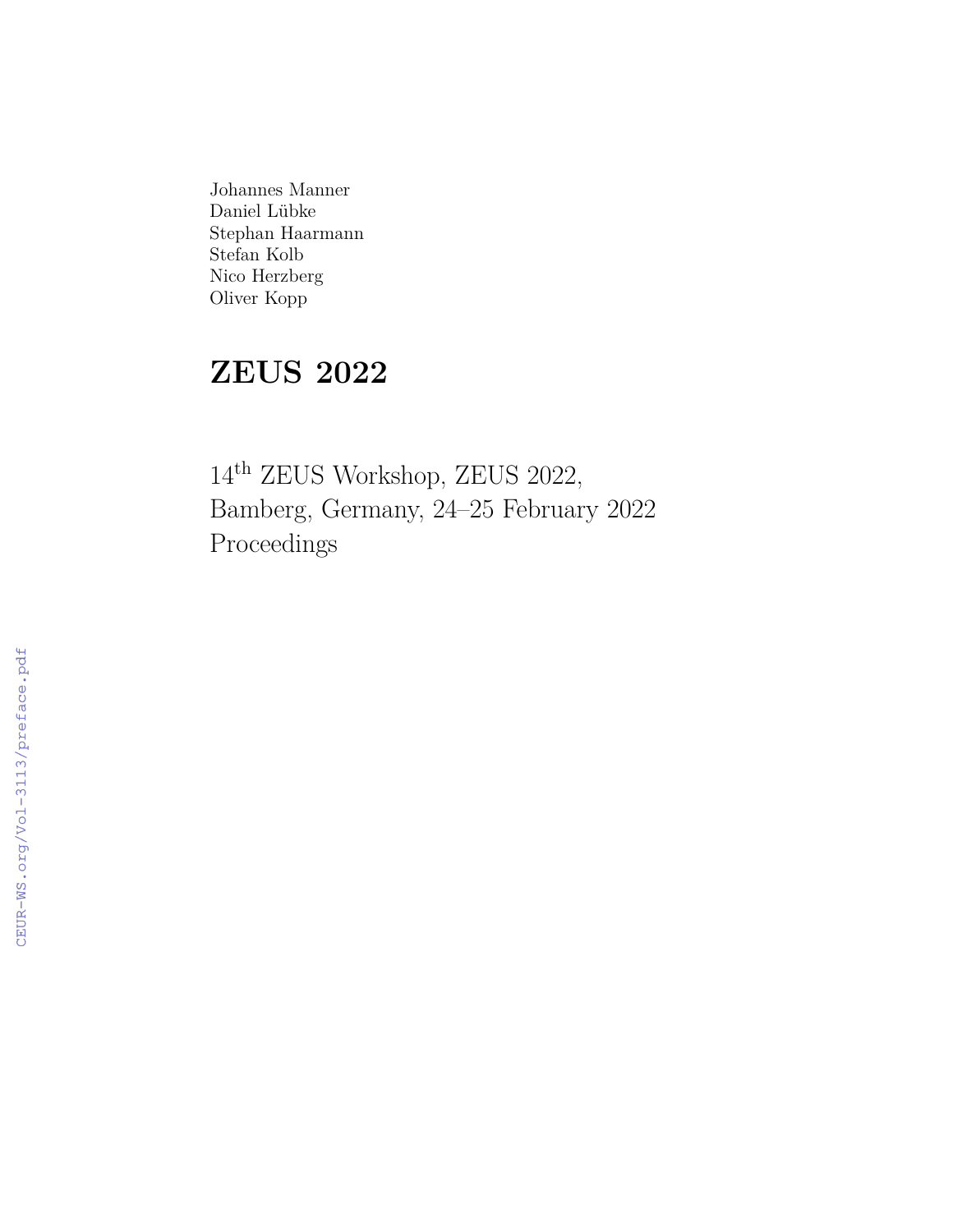Johannes Manner Daniel Lübke Stephan Haarmann Stefan Kolb Nico Herzberg Oliver Kopp

# **ZEUS 2022**

14th ZEUS Workshop, ZEUS 2022, Bamberg, Germany, 24–25 February 2022 Proceedings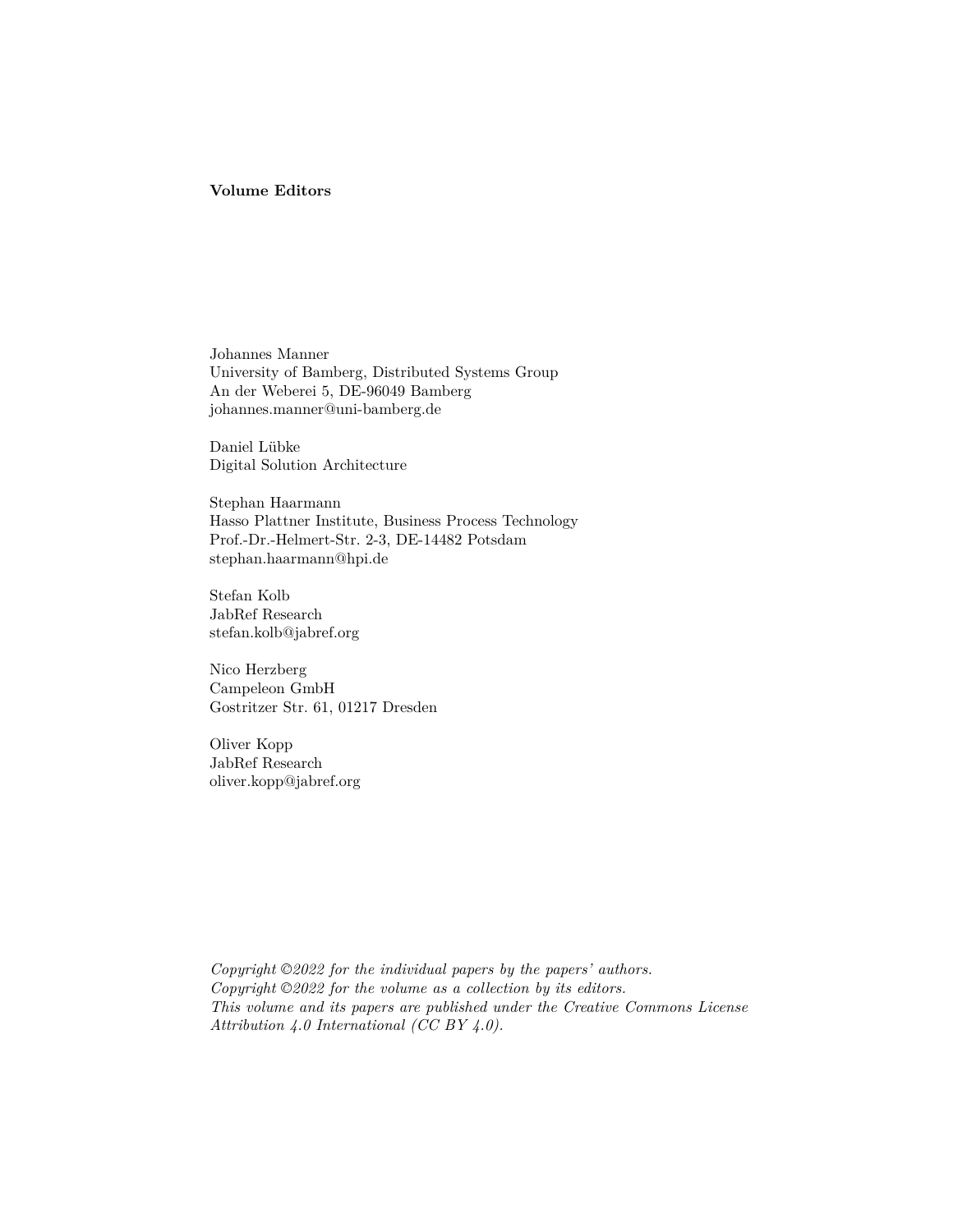#### **Volume Editors**

Johannes Manner University of Bamberg, Distributed Systems Group An der Weberei 5, DE-96049 Bamberg johannes.manner@uni-bamberg.de

Daniel Lübke Digital Solution Architecture

Stephan Haarmann Hasso Plattner Institute, Business Process Technology Prof.-Dr.-Helmert-Str. 2-3, DE-14482 Potsdam stephan.haarmann@hpi.de

Stefan Kolb JabRef Research stefan.kolb@jabref.org

Nico Herzberg Campeleon GmbH Gostritzer Str. 61, 01217 Dresden

Oliver Kopp JabRef Research oliver.kopp@jabref.org

*Copyright ©2022 for the individual papers by the papers' authors. Copyright ©2022 for the volume as a collection by its editors. This volume and its papers are published under the Creative Commons License Attribution 4.0 International (CC BY 4.0).*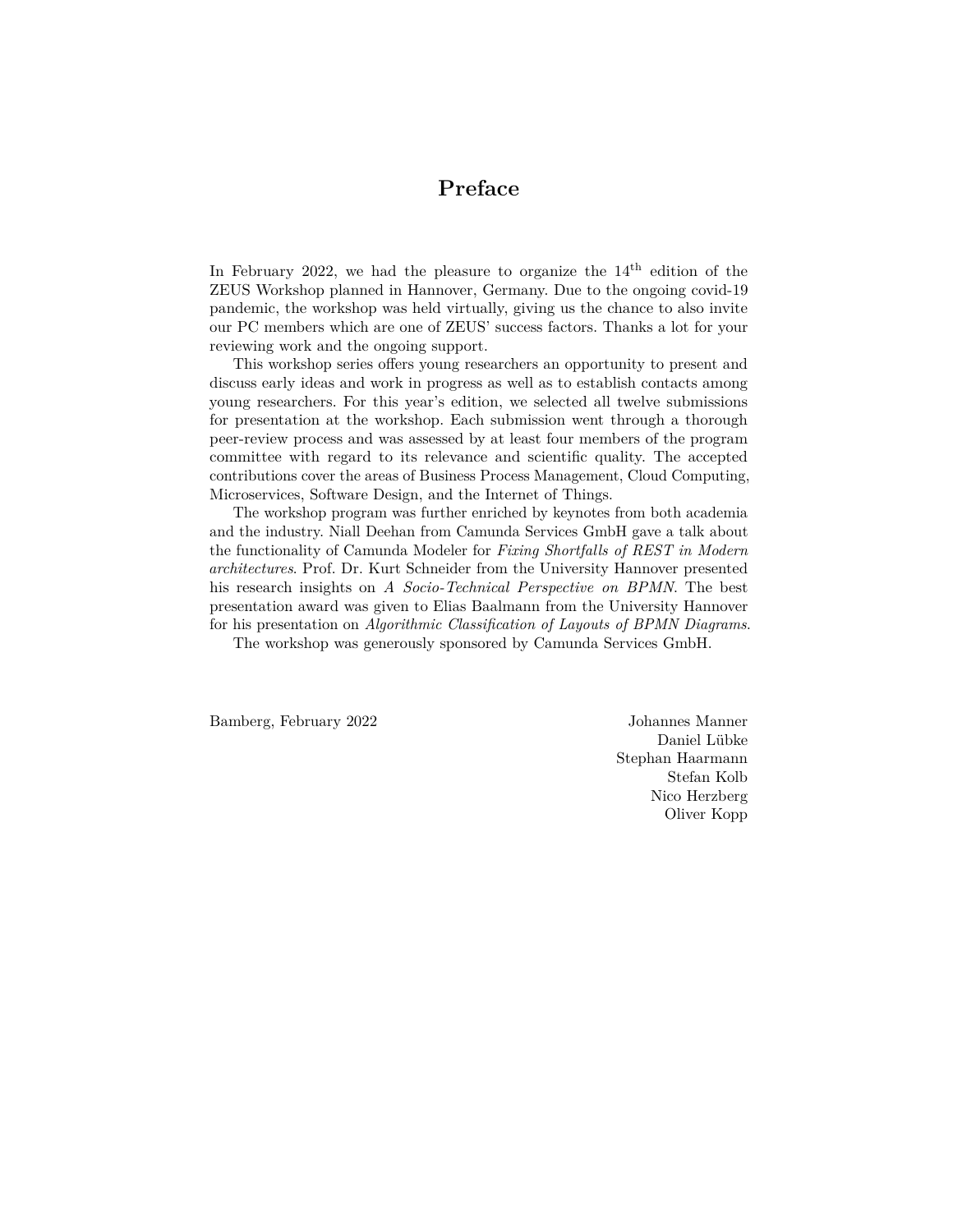#### **Preface**

In February 2022, we had the pleasure to organize the  $14<sup>th</sup>$  edition of the ZEUS Workshop planned in Hannover, Germany. Due to the ongoing covid-19 pandemic, the workshop was held virtually, giving us the chance to also invite our PC members which are one of ZEUS' success factors. Thanks a lot for your reviewing work and the ongoing support.

This workshop series offers young researchers an opportunity to present and discuss early ideas and work in progress as well as to establish contacts among young researchers. For this year's edition, we selected all twelve submissions for presentation at the workshop. Each submission went through a thorough peer-review process and was assessed by at least four members of the program committee with regard to its relevance and scientific quality. The accepted contributions cover the areas of Business Process Management, Cloud Computing, Microservices, Software Design, and the Internet of Things.

The workshop program was further enriched by keynotes from both academia and the industry. Niall Deehan from Camunda Services GmbH gave a talk about the functionality of Camunda Modeler for *Fixing Shortfalls of REST in Modern architectures*. Prof. Dr. Kurt Schneider from the University Hannover presented his research insights on *A Socio-Technical Perspective on BPMN*. The best presentation award was given to Elias Baalmann from the University Hannover for his presentation on *Algorithmic Classification of Layouts of BPMN Diagrams*.

The workshop was generously sponsored by Camunda Services GmbH.

Bamberg, February 2022 Johannes Manner

Daniel Lübke Stephan Haarmann Stefan Kolb Nico Herzberg Oliver Kopp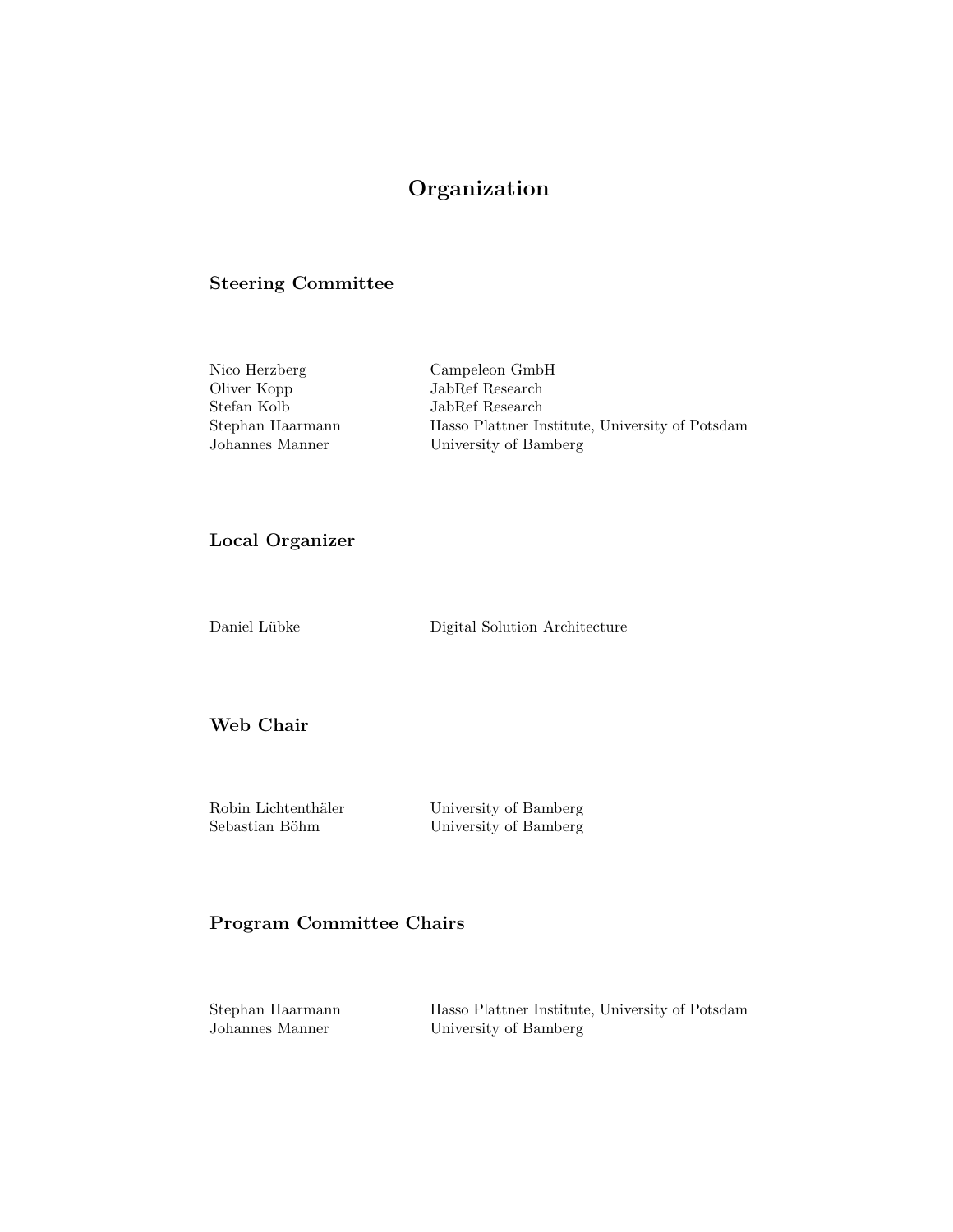### **Organization**

#### **Steering Committee**

| Nico Herzberg    | Campeleon GmbH                                  |
|------------------|-------------------------------------------------|
| Oliver Kopp      | JabRef Research                                 |
| Stefan Kolb      | JabRef Research                                 |
| Stephan Haarmann | Hasso Plattner Institute, University of Potsdam |
| Johannes Manner  | University of Bamberg                           |

#### **Local Organizer**

Daniel Lübke Digital Solution Architecture

**Web Chair**

Robin Lichtenthäler University of Bamberg

Sebastian Böhm University of Bamberg

#### **Program Committee Chairs**

Stephan Haarmann Hasso Plattner Institute, University of Potsdam Johannes Manner University of Bamberg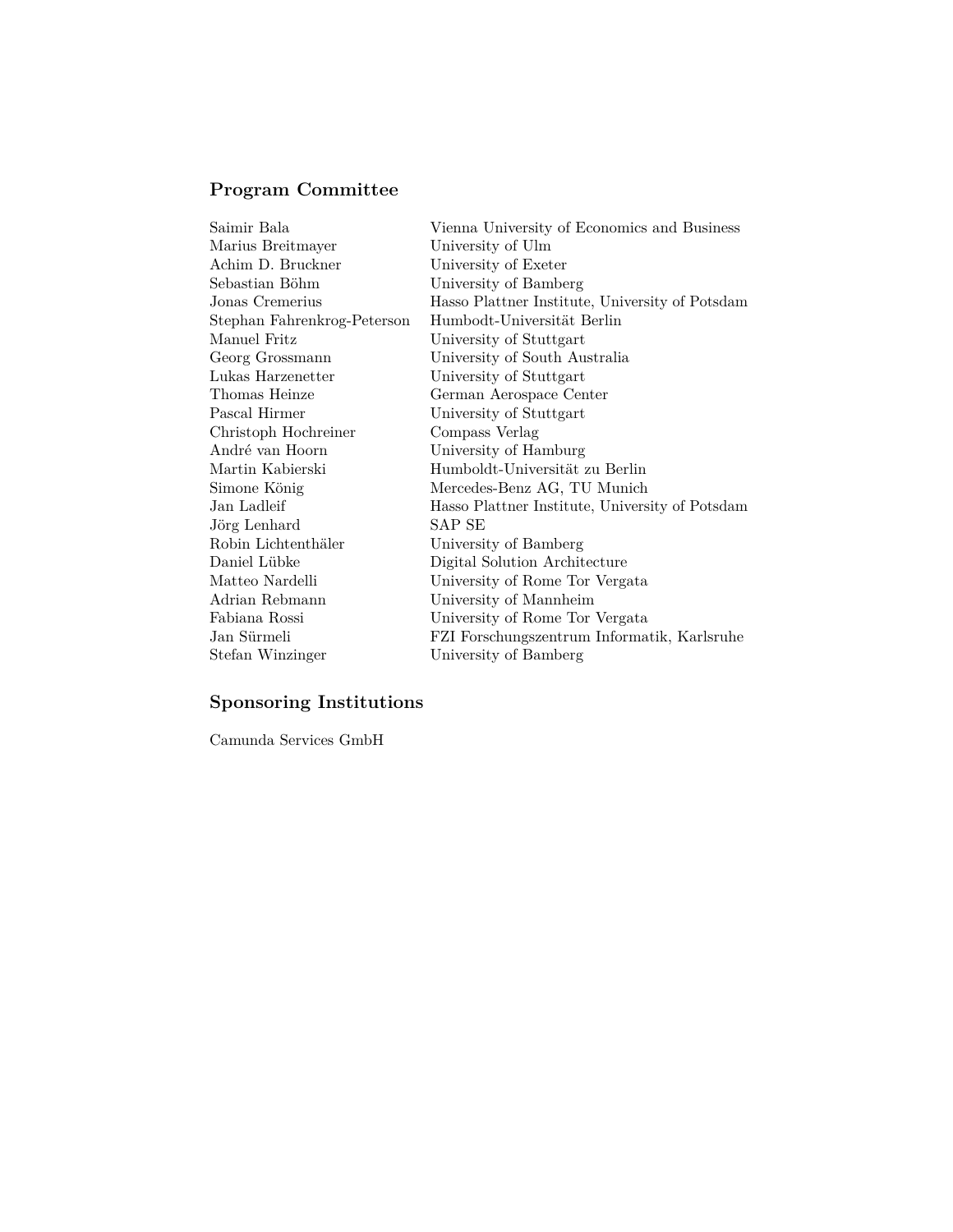## **Program Committee**

| Saimir Bala                 | Vienna University of Economics and Business     |
|-----------------------------|-------------------------------------------------|
| Marius Breitmayer           | University of Ulm                               |
| Achim D. Bruckner           | University of Exeter                            |
| Sebastian Böhm              | University of Bamberg                           |
| Jonas Cremerius             | Hasso Plattner Institute, University of Potsdam |
| Stephan Fahrenkrog-Peterson | Humbodt-Universität Berlin                      |
| Manuel Fritz                | University of Stuttgart                         |
| Georg Grossmann             | University of South Australia                   |
| Lukas Harzenetter           | University of Stuttgart                         |
| Thomas Heinze               | German Aerospace Center                         |
| Pascal Hirmer               | University of Stuttgart                         |
| Christoph Hochreiner        | Compass Verlag                                  |
| André van Hoorn             | University of Hamburg                           |
| Martin Kabierski            | Humboldt-Universität zu Berlin                  |
| Simone König                | Mercedes-Benz AG, TU Munich                     |
| Jan Ladleif                 | Hasso Plattner Institute, University of Potsdam |
| Jörg Lenhard                | SAP SE                                          |
| Robin Lichtenthäler         | University of Bamberg                           |
| Daniel Lübke                | Digital Solution Architecture                   |
| Matteo Nardelli             | University of Rome Tor Vergata                  |
| Adrian Rebmann              | University of Mannheim                          |
| Fabiana Rossi               | University of Rome Tor Vergata                  |
| Jan Sürmeli                 | FZI Forschungszentrum Informatik, Karlsruhe     |
| Stefan Winzinger            | University of Bamberg                           |
|                             |                                                 |

#### **Sponsoring Institutions**

Camunda Services GmbH